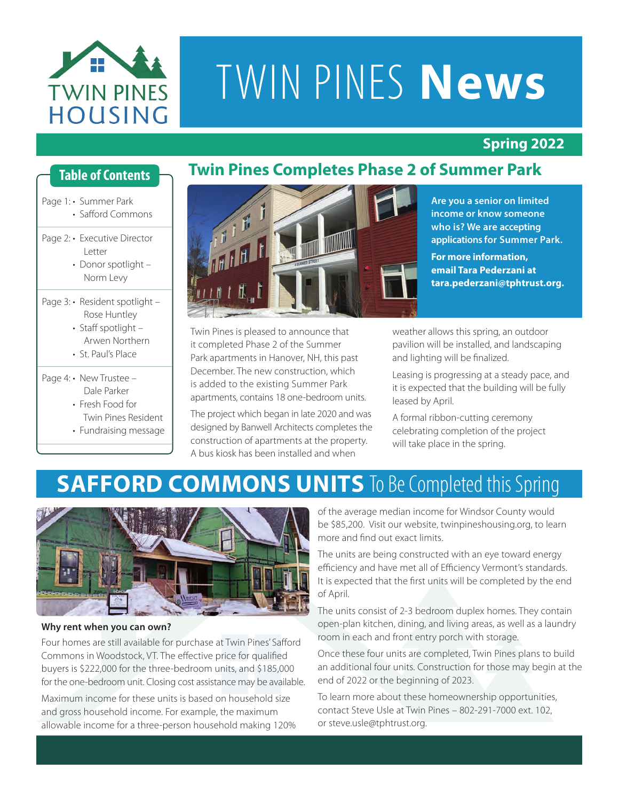

# TWIN PINES **News**

#### **Spring 2022**

#### **Table of Contents**

- Page 1: · Summer Park • Safford Commons
- Page 2: Executive Director Letter
	- Donor spotlight Norm Levy
- Page 3: Resident spotlight -Rose Huntley
	- Staff spotlight Arwen Northern
	- St. Paul's Place
- Page 4: New Trustee -Dale Parker
	- Fresh Food for
	- Twin Pines Resident
	- Fundraising message



Twin Pines is pleased to announce that it completed Phase 2 of the Summer Park apartments in Hanover, NH, this past December. The new construction, which is added to the existing Summer Park apartments, contains 18 one-bedroom units.

The project which began in late 2020 and was designed by Banwell Architects completes the construction of apartments at the property. A bus kiosk has been installed and when

**Are you a senior on limited income or know someone who is? We are accepting applications for Summer Park. For more information,**

**email Tara Pederzani at tara.pederzani@tphtrust.org.**

weather allows this spring, an outdoor pavilion will be installed, and landscaping and lighting will be finalized.

Leasing is progressing at a steady pace, and it is expected that the building will be fully leased by April.

A formal ribbon-cutting ceremony celebrating completion of the project will take place in the spring.

## **SAFFORD COMMONS UNITS** To Be Completed this Spring



#### **Why rent when you can own?**

Four homes are still available for purchase at Twin Pines' Safford Commons in Woodstock, VT. The effective price for qualified buyers is \$222,000 for the three-bedroom units, and \$185,000 for the one-bedroom unit. Closing cost assistance may be available.

Maximum income for these units is based on household size and gross household income. For example, the maximum allowable income for a three-person household making 120% of the average median income for Windsor County would be \$85,200. Visit our website, twinpineshousing.org, to learn more and find out exact limits.

The units are being constructed with an eye toward energy efficiency and have met all of Efficiency Vermont's standards. It is expected that the first units will be completed by the end of April.

The units consist of 2-3 bedroom duplex homes. They contain open-plan kitchen, dining, and living areas, as well as a laundry room in each and front entry porch with storage.

Once these four units are completed, Twin Pines plans to build an additional four units. Construction for those may begin at the end of 2022 or the beginning of 2023.

To learn more about these homeownership opportunities, contact Steve Usle at Twin Pines – 802-291-7000 ext. 102, or steve.usle@tphtrust.org.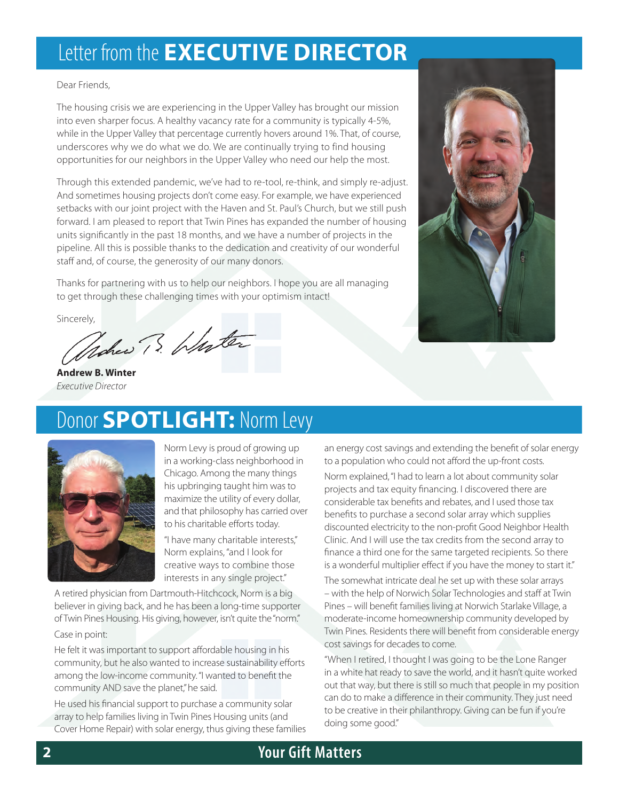## Letter from the **EXECUTIVE DIRECTOR**

Dear Friends,

The housing crisis we are experiencing in the Upper Valley has brought our mission into even sharper focus. A healthy vacancy rate for a community is typically 4-5%, while in the Upper Valley that percentage currently hovers around 1%. That, of course, underscores why we do what we do. We are continually trying to find housing opportunities for our neighbors in the Upper Valley who need our help the most.

Through this extended pandemic, we've had to re-tool, re-think, and simply re-adjust. And sometimes housing projects don't come easy. For example, we have experienced setbacks with our joint project with the Haven and St. Paul's Church, but we still push forward. I am pleased to report that Twin Pines has expanded the number of housing units significantly in the past 18 months, and we have a number of projects in the pipeline. All this is possible thanks to the dedication and creativity of our wonderful staff and, of course, the generosity of our many donors.

Thanks for partnering with us to help our neighbors. I hope you are all managing to get through these challenging times with your optimism intact!

sincerely,

**Andrew B. Winter** *Executive Director*



### Donor **SPOTLIGHT:** Norm Levy



Norm Levy is proud of growing up in a working-class neighborhood in Chicago. Among the many things his upbringing taught him was to maximize the utility of every dollar, and that philosophy has carried over to his charitable efforts today.

"I have many charitable interests," Norm explains, "and I look for creative ways to combine those interests in any single project."

A retired physician from Dartmouth-Hitchcock, Norm is a big believer in giving back, and he has been a long-time supporter of Twin Pines Housing. His giving, however, isn't quite the"norm."

Case in point:

He felt it was important to support affordable housing in his community, but he also wanted to increase sustainability efforts among the low-income community."I wanted to benefit the community AND save the planet," he said.

He used his financial support to purchase a community solar array to help families living in Twin Pines Housing units (and Cover Home Repair) with solar energy, thus giving these families

an energy cost savings and extending the benefit of solar energy to a population who could not afford the up-front costs.

Norm explained,"I had to learn a lot about community solar projects and tax equity financing. I discovered there are considerable tax benefits and rebates, and I used those tax benefits to purchase a second solar array which supplies discounted electricity to the non-profit Good Neighbor Health Clinic. And I will use the tax credits from the second array to finance a third one for the same targeted recipients. So there is a wonderful multiplier effect if you have the money to start it."

The somewhat intricate deal he set up with these solar arrays – with the help of Norwich Solar Technologies and staff at Twin Pines – will benefit families living at Norwich Starlake Village, a moderate-income homeownership community developed by Twin Pines. Residents there will benefit from considerable energy cost savings for decades to come.

"When I retired, I thought I was going to be the Lone Ranger in a white hat ready to save the world, and it hasn't quite worked out that way, but there is still so much that people in my position can do to make a difference in their community. They just need to be creative in their philanthropy. Giving can be fun if you're doing some good."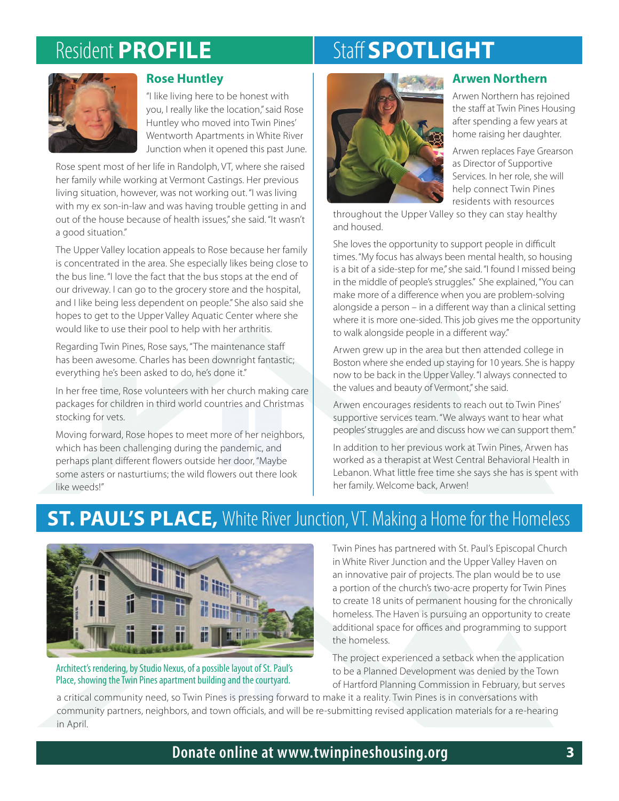# Resident **PROFILE**

# Staff **SPOTLIGHT**



#### **Rose Huntley**

"I like living here to be honest with you, I really like the location,"said Rose Huntley who moved into Twin Pines' Wentworth Apartments in White River Junction when it opened this past June.

Rose spent most of her life in Randolph, VT, where she raised her family while working at Vermont Castings. Her previous living situation, however, was not working out. "I was living with my ex son-in-law and was having trouble getting in and out of the house because of health issues,"she said. "It wasn't a good situation."

The Upper Valley location appeals to Rose because her family is concentrated in the area. She especially likes being close to the bus line. "I love the fact that the bus stops at the end of our driveway. I can go to the grocery store and the hospital, and I like being less dependent on people." She also said she hopes to get to the Upper Valley Aquatic Center where she would like to use their pool to help with her arthritis.

Regarding Twin Pines, Rose says, "The maintenance staff has been awesome. Charles has been downright fantastic; everything he's been asked to do, he's done it."

In her free time, Rose volunteers with her church making care packages for children in third world countries and Christmas stocking for vets.

Moving forward, Rose hopes to meet more of her neighbors, which has been challenging during the pandemic, and perhaps plant different flowers outside her door, "Maybe some asters or nasturtiums; the wild flowers out there look like weeds!"



#### **Arwen Northern**

Arwen Northern has rejoined the staff at Twin Pines Housing after spending a few years at home raising her daughter.

Arwen replaces Faye Grearson as Director of Supportive Services. In her role, she will help connect Twin Pines residents with resources

throughout the Upper Valley so they can stay healthy and housed.

She loves the opportunity to support people in difficult times."My focus has always been mental health, so housing is a bit of a side-step for me,"she said."I found I missed being in the middle of people's struggles." She explained,"You can make more of a difference when you are problem-solving alongside a person – in a different way than a clinical setting where it is more one-sided. This job gives me the opportunity to walk alongside people in a different way."

Arwen grew up in the area but then attended college in Boston where she ended up staying for 10 years. She is happy now to be back in the Upper Valley."I always connected to the values and beauty of Vermont," she said.

Arwen encourages residents to reach out to Twin Pines' supportive services team. "We always want to hear what peoples'struggles are and discuss how we can support them."

In addition to her previous work at Twin Pines, Arwen has worked as a therapist at West Central Behavioral Health in Lebanon. What little free time she says she has is spent with her family. Welcome back, Arwen!

### **ST. PAUL'S PLACE,** White River Junction, VT. Making a Home for the Homeless



Architect's rendering, by Studio Nexus, of a possible layout of St. Paul's Place, showing the Twin Pines apartment building and the courtyard.

Twin Pines has partnered with St. Paul's Episcopal Church in White River Junction and the Upper Valley Haven on an innovative pair of projects. The plan would be to use a portion of the church's two-acre property for Twin Pines to create 18 units of permanent housing for the chronically homeless. The Haven is pursuing an opportunity to create additional space for offices and programming to support the homeless.

The project experienced a setback when the application to be a Planned Development was denied by the Town of Hartford Planning Commission in February, but serves

a critical community need, so Twin Pines is pressing forward to make it a reality. Twin Pines is in conversations with community partners, neighbors, and town officials, and will be re-submitting revised application materials for a re-hearing in April.